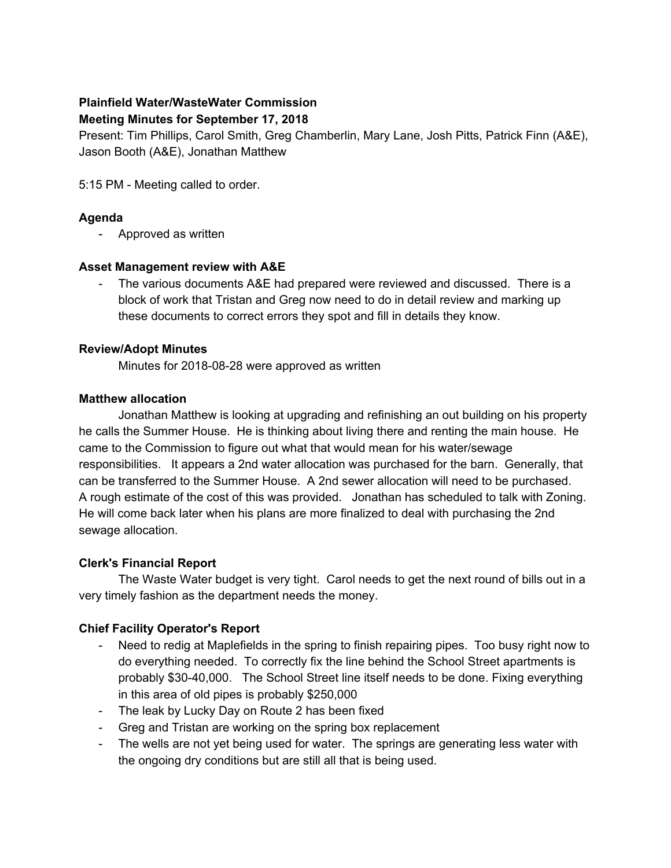## **Plainfield Water/WasteWater Commission**

#### **Meeting Minutes for September 17, 2018**

Present: Tim Phillips, Carol Smith, Greg Chamberlin, Mary Lane, Josh Pitts, Patrick Finn (A&E), Jason Booth (A&E), Jonathan Matthew

5:15 PM - Meeting called to order.

# **Agenda**

- Approved as written

## **Asset Management review with A&E**

- The various documents A&E had prepared were reviewed and discussed. There is a block of work that Tristan and Greg now need to do in detail review and marking up these documents to correct errors they spot and fill in details they know.

## **Review/Adopt Minutes**

Minutes for 2018-08-28 were approved as written

#### **Matthew allocation**

Jonathan Matthew is looking at upgrading and refinishing an out building on his property he calls the Summer House. He is thinking about living there and renting the main house. He came to the Commission to figure out what that would mean for his water/sewage responsibilities. It appears a 2nd water allocation was purchased for the barn. Generally, that can be transferred to the Summer House. A 2nd sewer allocation will need to be purchased. A rough estimate of the cost of this was provided. Jonathan has scheduled to talk with Zoning. He will come back later when his plans are more finalized to deal with purchasing the 2nd sewage allocation.

#### **Clerk's Financial Report**

The Waste Water budget is very tight. Carol needs to get the next round of bills out in a very timely fashion as the department needs the money.

# **Chief Facility Operator's Report**

- Need to redig at Maplefields in the spring to finish repairing pipes. Too busy right now to do everything needed. To correctly fix the line behind the School Street apartments is probably \$30-40,000. The School Street line itself needs to be done. Fixing everything in this area of old pipes is probably \$250,000
- The leak by Lucky Day on Route 2 has been fixed
- Greg and Tristan are working on the spring box replacement
- The wells are not yet being used for water. The springs are generating less water with the ongoing dry conditions but are still all that is being used.